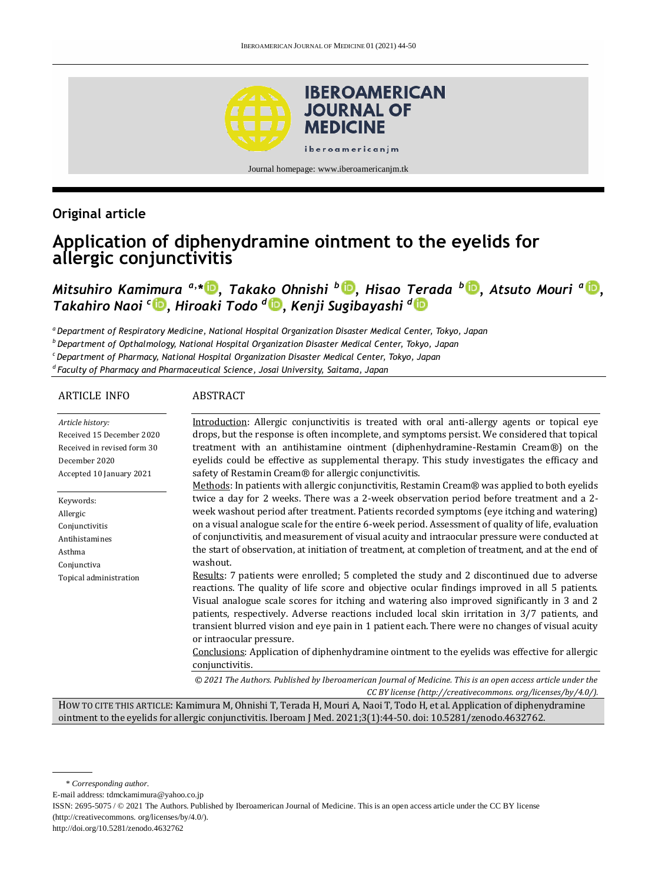

## **Original article**

# **Application of diphenydramine ointment to the eyelids for allergic conjunctivitis**

*Mitsuhiro Kamimura a,\* [,](http://orcid.org/0000-0003-3037-8082) Takako Ohnishi <sup>b</sup> [,](http://orcid.org/0000-0001-8704-8151) Hisao Terada <sup>b</sup> [,](http://orcid.org/0000-0003-1625-4497) Atsuto Mouri <sup>a</sup> [,](http://orcid.org/0000-0001-8704-8151) Takahiro Naoi <sup>c</sup> [,](http://orcid.org/0000-0002-1752-7445) Hiroaki Todo <sup>d</sup> [,](http://orcid.org/0000-0003-0091-4366) Kenji Sugibayashi <sup>d</sup>*

*<sup>a</sup> Department of Respiratory Medicine, National Hospital Organization Disaster Medical Center, Tokyo, Japan*

*<sup>b</sup>Department of Opthalmology, National Hospital Organization Disaster Medical Center, Tokyo, Japan*

*<sup>c</sup>Department of Pharmacy, National Hospital Organization Disaster Medical Center, Tokyo, Japan*

*d Faculty of Pharmacy and Pharmaceutical Science, Josai University, Saitama, Japan*

#### ARTICLE INFO

#### ABSTRACT

*Article history:* Received 15 December 2020 Received in revised form 30 December 2020 Accepted 10 January 2021 Keywords: Allergic Conjunctivitis Antihistamines Asthma Conjunctiva Topical administration Introduction: Allergic conjunctivitis is treated with oral anti-allergy agents or topical eye drops, but the response is often incomplete, and symptoms persist. We considered that topical treatment with an antihistamine ointment (diphenhydramine-Restamin Cream®) on the eyelids could be effective as supplemental therapy. This study investigates the efficacy and safety of Restamin Cream® for allergic conjunctivitis. Methods: In patients with allergic conjunctivitis, Restamin Cream® was applied to both eyelids twice a day for 2 weeks. There was a 2-week observation period before treatment and a 2 week washout period after treatment. Patients recorded symptoms (eye itching and watering) on a visual analogue scale for the entire 6-week period. Assessment of quality of life, evaluation of conjunctivitis, and measurement of visual acuity and intraocular pressure were conducted at the start of observation, at initiation of treatment, at completion of treatment, and at the end of washout. Results: 7 patients were enrolled; 5 completed the study and 2 discontinued due to adverse reactions. The quality of life score and objective ocular findings improved in all 5 patients. Visual analogue scale scores for itching and watering also improved significantly in 3 and 2 patients, respectively. Adverse reactions included local skin irritation in 3/7 patients, and transient blurred vision and eye pain in 1 patient each. There were no changes of visual acuity or intraocular pressure. Conclusions: Application of diphenhydramine ointment to the eyelids was effective for allergic conjunctivitis.

> *© 2021 The Authors. Published by Iberoamerican Journal of Medicine. This is an open access article under the CC BY license (http:/[/creativecommons. org/licenses/by/4.0/\)](https://creativecommons.org/licenses/by/4.0/).*

HOW TO CITE THIS ARTICLE: Kamimura M, Ohnishi T, Terada H, Mouri A, Naoi T, Todo H, et al. Application of diphenydramine ointment to the eyelids for allergic conjunctivitis. Iberoam J Med. 2021;3(1):44-50. doi[: 10.5281/zenodo.4632762.](http://doi.org/10.5281/zenodo.4632762)

E-mail address: tdmckamimura@yahoo.co.jp

ISSN: 2695-5075 / © 2021 The Authors. Published by Iberoamerican Journal of Medicine. This is an open access article under the CC BY license (http://creativecommons. org/licenses/by/4.0/).

http://doi.org/10.5281/zenodo.4632762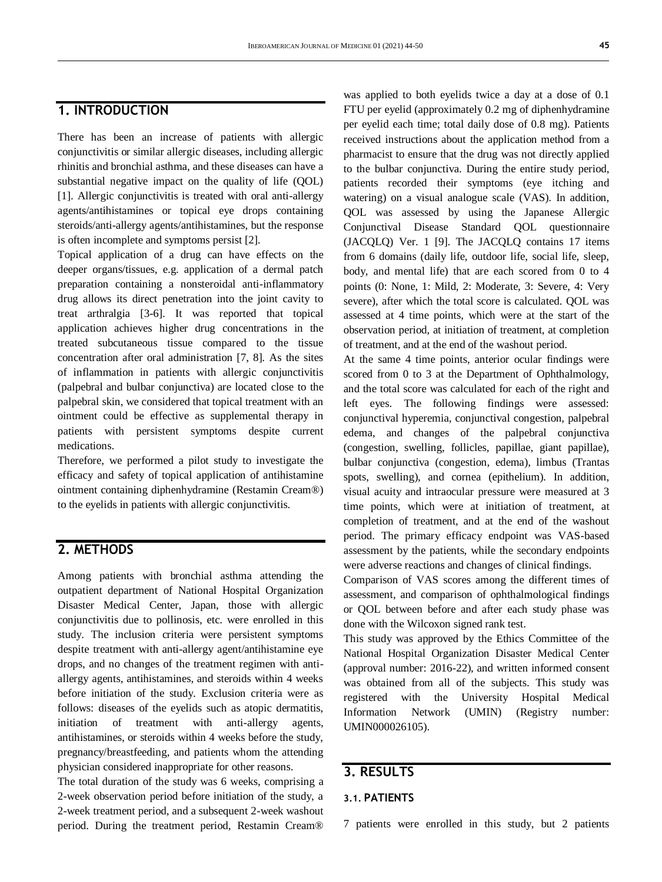### **1. INTRODUCTION**

There has been an increase of patients with allergic conjunctivitis or similar allergic diseases, including allergic rhinitis and bronchial asthma, and these diseases can have a substantial negative impact on the quality of life (QOL) [1]. Allergic conjunctivitis is treated with oral anti-allergy agents/antihistamines or topical eye drops containing steroids/anti-allergy agents/antihistamines, but the response is often incomplete and symptoms persist [2].

Topical application of a drug can have effects on the deeper organs/tissues, e.g. application of a dermal patch preparation containing a nonsteroidal anti-inflammatory drug allows its direct penetration into the joint cavity to treat arthralgia [3-6]. It was reported that topical application achieves higher drug concentrations in the treated subcutaneous tissue compared to the tissue concentration after oral administration [7, 8]. As the sites of inflammation in patients with allergic conjunctivitis (palpebral and bulbar conjunctiva) are located close to the palpebral skin, we considered that topical treatment with an ointment could be effective as supplemental therapy in patients with persistent symptoms despite current medications.

Therefore, we performed a pilot study to investigate the efficacy and safety of topical application of antihistamine ointment containing diphenhydramine (Restamin Cream®) to the eyelids in patients with allergic conjunctivitis.

### **2. METHODS**

Among patients with bronchial asthma attending the outpatient department of National Hospital Organization Disaster Medical Center, Japan, those with allergic conjunctivitis due to pollinosis, etc. were enrolled in this study. The inclusion criteria were persistent symptoms despite treatment with anti-allergy agent/antihistamine eye drops, and no changes of the treatment regimen with antiallergy agents, antihistamines, and steroids within 4 weeks before initiation of the study. Exclusion criteria were as follows: diseases of the eyelids such as atopic dermatitis, initiation of treatment with anti-allergy agents, antihistamines, or steroids within 4 weeks before the study, pregnancy/breastfeeding, and patients whom the attending physician considered inappropriate for other reasons.

The total duration of the study was 6 weeks, comprising a 2-week observation period before initiation of the study, a 2-week treatment period, and a subsequent 2-week washout period. During the treatment period, Restamin Cream®

was applied to both eyelids twice a day at a dose of 0.1 FTU per eyelid (approximately 0.2 mg of diphenhydramine per eyelid each time; total daily dose of 0.8 mg). Patients received instructions about the application method from a pharmacist to ensure that the drug was not directly applied to the bulbar conjunctiva. During the entire study period, patients recorded their symptoms (eye itching and watering) on a visual analogue scale (VAS). In addition, QOL was assessed by using the Japanese Allergic Conjunctival Disease Standard QOL questionnaire (JACQLQ) Ver. 1 [9]. The JACQLQ contains 17 items from 6 domains (daily life, outdoor life, social life, sleep, body, and mental life) that are each scored from 0 to 4 points (0: None, 1: Mild, 2: Moderate, 3: Severe, 4: Very severe), after which the total score is calculated. QOL was assessed at 4 time points, which were at the start of the observation period, at initiation of treatment, at completion of treatment, and at the end of the washout period.

At the same 4 time points, anterior ocular findings were scored from 0 to 3 at the Department of Ophthalmology, and the total score was calculated for each of the right and left eyes. The following findings were assessed: conjunctival hyperemia, conjunctival congestion, palpebral edema, and changes of the palpebral conjunctiva (congestion, swelling, follicles, papillae, giant papillae), bulbar conjunctiva (congestion, edema), limbus (Trantas spots, swelling), and cornea (epithelium). In addition, visual acuity and intraocular pressure were measured at 3 time points, which were at initiation of treatment, at completion of treatment, and at the end of the washout period. The primary efficacy endpoint was VAS-based assessment by the patients, while the secondary endpoints were adverse reactions and changes of clinical findings.

Comparison of VAS scores among the different times of assessment, and comparison of ophthalmological findings or QOL between before and after each study phase was done with the Wilcoxon signed rank test.

This study was approved by the Ethics Committee of the National Hospital Organization Disaster Medical Center (approval number: 2016-22), and written informed consent was obtained from all of the subjects. This study was registered with the University Hospital Medical Information Network (UMIN) (Registry number: UMIN000026105).

### **3. RESULTS**

#### **3.1. PATIENTS**

7 patients were enrolled in this study, but 2 patients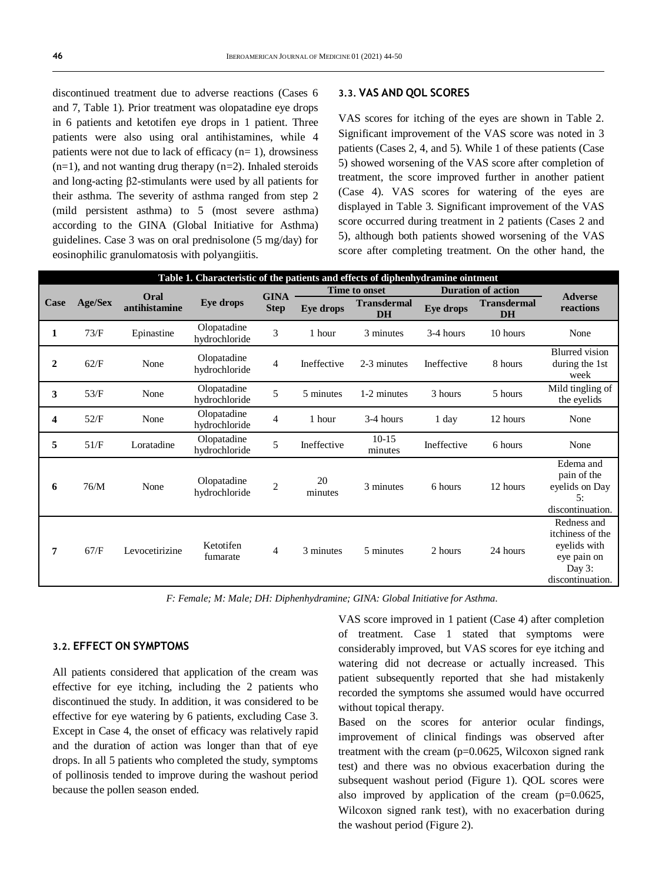discontinued treatment due to adverse reactions (Cases 6 and 7, Table 1). Prior treatment was olopatadine eye drops in 6 patients and ketotifen eye drops in 1 patient. Three patients were also using oral antihistamines, while 4 patients were not due to lack of efficacy  $(n=1)$ , drowsiness  $(n=1)$ , and not wanting drug therapy  $(n=2)$ . Inhaled steroids and long-acting β2-stimulants were used by all patients for their asthma. The severity of asthma ranged from step 2 (mild persistent asthma) to 5 (most severe asthma) according to the GINA (Global Initiative for Asthma) guidelines. Case 3 was on oral prednisolone (5 mg/day) for eosinophilic granulomatosis with polyangiitis.

#### **3.3. VAS AND QOL SCORES**

VAS scores for itching of the eyes are shown in Table 2. Significant improvement of the VAS score was noted in 3 patients (Cases 2, 4, and 5). While 1 of these patients (Case 5) showed worsening of the VAS score after completion of treatment, the score improved further in another patient (Case 4). VAS scores for watering of the eyes are displayed in Table 3. Significant improvement of the VAS score occurred during treatment in 2 patients (Cases 2 and 5), although both patients showed worsening of the VAS score after completing treatment. On the other hand, the

| Table 1. Characteristic of the patients and effects of diphenhydramine ointment |                |                       |                              |                            |                      |                                 |                           |                                 |                                                                                                 |
|---------------------------------------------------------------------------------|----------------|-----------------------|------------------------------|----------------------------|----------------------|---------------------------------|---------------------------|---------------------------------|-------------------------------------------------------------------------------------------------|
| Case                                                                            | <b>Age/Sex</b> | Oral<br>antihistamine | <b>Eye drops</b>             | <b>GINA</b><br><b>Step</b> | <b>Time to onset</b> |                                 | <b>Duration of action</b> |                                 | <b>Adverse</b>                                                                                  |
|                                                                                 |                |                       |                              |                            | Eye drops            | <b>Transdermal</b><br><b>DH</b> | <b>Eye drops</b>          | <b>Transdermal</b><br><b>DH</b> | reactions                                                                                       |
| 1                                                                               | 73/F           | Epinastine            | Olopatadine<br>hydrochloride | 3                          | 1 hour               | 3 minutes                       | 3-4 hours                 | 10 hours                        | None                                                                                            |
| $\overline{2}$                                                                  | 62/F           | None                  | Olopatadine<br>hydrochloride | $\overline{4}$             | Ineffective          | 2-3 minutes                     | Ineffective               | 8 hours                         | <b>Blurred</b> vision<br>during the 1st<br>week                                                 |
| 3                                                                               | 53/F           | None                  | Olopatadine<br>hydrochloride | 5                          | 5 minutes            | 1-2 minutes                     | 3 hours                   | 5 hours                         | Mild tingling of<br>the eyelids                                                                 |
| 4                                                                               | 52/F           | None                  | Olopatadine<br>hydrochloride | $\overline{4}$             | 1 hour               | 3-4 hours                       | 1 day                     | 12 hours                        | None                                                                                            |
| 5                                                                               | 51/F           | Loratadine            | Olopatadine<br>hydrochloride | 5                          | Ineffective          | $10-15$<br>minutes              | Ineffective               | 6 hours                         | None                                                                                            |
| 6                                                                               | 76/M           | None                  | Olopatadine<br>hydrochloride | $\overline{2}$             | 20<br>minutes        | 3 minutes                       | 6 hours                   | 12 hours                        | Edema and<br>pain of the<br>eyelids on Day<br>5:<br>discontinuation.                            |
| 7                                                                               | 67/F           | Levocetirizine        | Ketotifen<br>fumarate        | 4                          | 3 minutes            | 5 minutes                       | 2 hours                   | 24 hours                        | Redness and<br>itchiness of the<br>eyelids with<br>eye pain on<br>Day $3$ :<br>discontinuation. |

*F: Female; M: Male; DH: Diphenhydramine; GINA: Global Initiative for Asthma.*

#### **3.2. EFFECT ON SYMPTOMS**

All patients considered that application of the cream was effective for eye itching, including the 2 patients who discontinued the study. In addition, it was considered to be effective for eye watering by 6 patients, excluding Case 3. Except in Case 4, the onset of efficacy was relatively rapid and the duration of action was longer than that of eye drops. In all 5 patients who completed the study, symptoms of pollinosis tended to improve during the washout period because the pollen season ended.

VAS score improved in 1 patient (Case 4) after completion of treatment. Case 1 stated that symptoms were considerably improved, but VAS scores for eye itching and watering did not decrease or actually increased. This patient subsequently reported that she had mistakenly recorded the symptoms she assumed would have occurred without topical therapy.

Based on the scores for anterior ocular findings, improvement of clinical findings was observed after treatment with the cream (p=0.0625, Wilcoxon signed rank test) and there was no obvious exacerbation during the subsequent washout period (Figure 1). QOL scores were also improved by application of the cream  $(p=0.0625,$ Wilcoxon signed rank test), with no exacerbation during the washout period (Figure 2).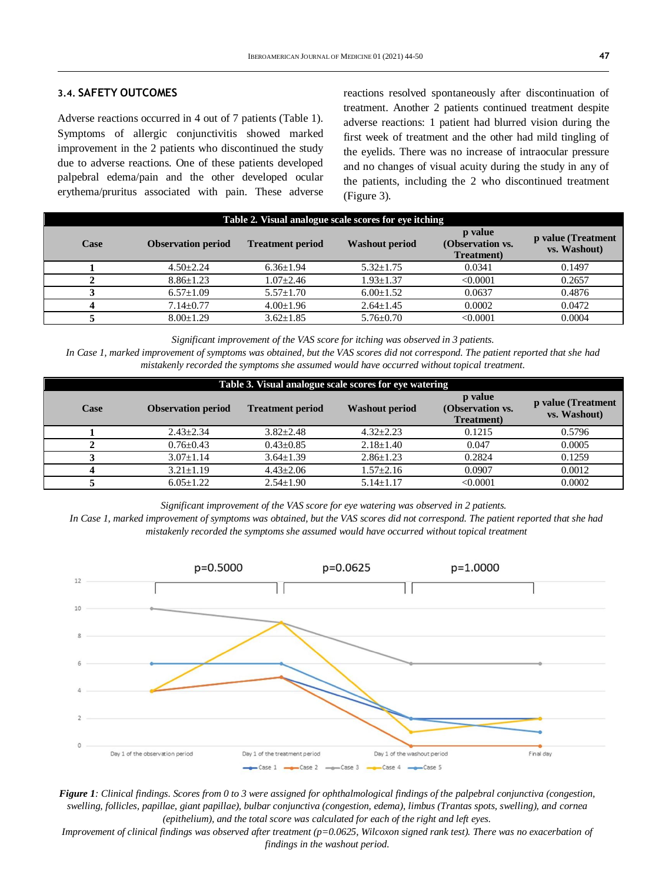#### **3.4. SAFETY OUTCOMES**

Adverse reactions occurred in 4 out of 7 patients (Table 1). Symptoms of allergic conjunctivitis showed marked improvement in the 2 patients who discontinued the study due to adverse reactions. One of these patients developed palpebral edema/pain and the other developed ocular erythema/pruritus associated with pain. These adverse reactions resolved spontaneously after discontinuation of treatment. Another 2 patients continued treatment despite adverse reactions: 1 patient had blurred vision during the first week of treatment and the other had mild tingling of the eyelids. There was no increase of intraocular pressure and no changes of visual acuity during the study in any of the patients, including the 2 who discontinued treatment (Figure 3).

| Table 2. Visual analogue scale scores for eye itching |                           |                         |                       |                                           |                                    |  |  |  |
|-------------------------------------------------------|---------------------------|-------------------------|-----------------------|-------------------------------------------|------------------------------------|--|--|--|
| Case                                                  | <b>Observation period</b> | <b>Treatment period</b> | <b>Washout period</b> | p value<br>(Observation vs.<br>Treatment) | p value (Treatment<br>vs. Washout) |  |  |  |
|                                                       | $4.50 + 2.24$             | $6.36 \pm 1.94$         | $5.32 \pm 1.75$       | 0.0341                                    | 0.1497                             |  |  |  |
|                                                       | $8.86 + 1.23$             | $1.07 \pm 2.46$         | $1.93 \pm 1.37$       | < 0.0001                                  | 0.2657                             |  |  |  |
|                                                       | $6.57+1.09$               | $5.57 + 1.70$           | $6.00 \pm 1.52$       | 0.0637                                    | 0.4876                             |  |  |  |
|                                                       | $7.14 \pm 0.77$           | $4.00 \pm 1.96$         | $2.64 \pm 1.45$       | 0.0002                                    | 0.0472                             |  |  |  |
|                                                       | $8.00 \pm 1.29$           | $3.62 \pm 1.85$         | $5.76 \pm 0.70$       | < 0.0001                                  | 0.0004                             |  |  |  |

*Significant improvement of the VAS score for itching was observed in 3 patients.*

*In Case 1, marked improvement of symptoms was obtained, but the VAS scores did not correspond. The patient reported that she had mistakenly recorded the symptoms she assumed would have occurred without topical treatment.*

| Table 3. Visual analogue scale scores for eye watering |                           |                         |                       |                                           |                                    |  |  |  |
|--------------------------------------------------------|---------------------------|-------------------------|-----------------------|-------------------------------------------|------------------------------------|--|--|--|
| Case                                                   | <b>Observation period</b> | <b>Treatment period</b> | <b>Washout period</b> | p value<br>(Observation vs.<br>Treatment) | p value (Treatment<br>vs. Washout) |  |  |  |
|                                                        | $2.43 \pm 2.34$           | $3.82 + 2.48$           | $4.32 \pm 2.23$       | 0.1215                                    | 0.5796                             |  |  |  |
|                                                        | $0.76 + 0.43$             | $0.43 \pm 0.85$         | $2.18 \pm 1.40$       | 0.047                                     | 0.0005                             |  |  |  |
|                                                        | $3.07 + 1.14$             | $3.64 \pm 1.39$         | $2.86 + 1.23$         | 0.2824                                    | 0.1259                             |  |  |  |
|                                                        | $3.21 \pm 1.19$           | $4.43 + 2.06$           | $1.57 \pm 2.16$       | 0.0907                                    | 0.0012                             |  |  |  |
|                                                        | $6.05+1.22$               | $2.54 \pm 1.90$         | $5.14 \pm 1.17$       | < 0.0001                                  | 0.0002                             |  |  |  |

*Significant improvement of the VAS score for eye watering was observed in 2 patients.*

*In Case 1, marked improvement of symptoms was obtained, but the VAS scores did not correspond. The patient reported that she had mistakenly recorded the symptoms she assumed would have occurred without topical treatment*



*Figure 1: Clinical findings. Scores from 0 to 3 were assigned for ophthalmological findings of the palpebral conjunctiva (congestion, swelling, follicles, papillae, giant papillae), bulbar conjunctiva (congestion, edema), limbus (Trantas spots, swelling), and cornea (epithelium), and the total score was calculated for each of the right and left eyes.*

*Improvement of clinical findings was observed after treatment (p=0.0625, Wilcoxon signed rank test). There was no exacerbation of findings in the washout period.*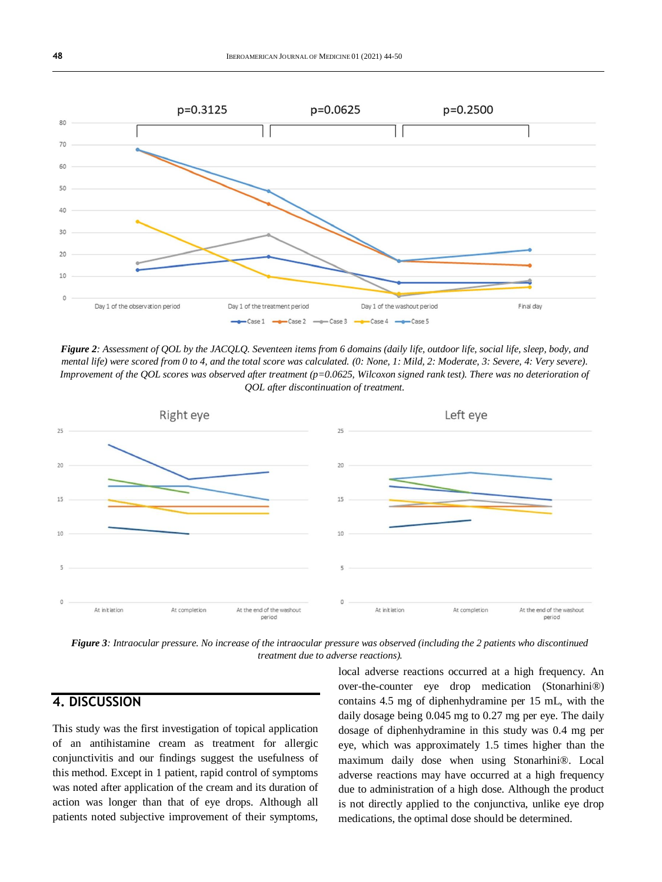

*Figure 2: Assessment of QOL by the JACQLQ. Seventeen items from 6 domains (daily life, outdoor life, social life, sleep, body, and mental life) were scored from 0 to 4, and the total score was calculated. (0: None, 1: Mild, 2: Moderate, 3: Severe, 4: Very severe). Improvement of the QOL scores was observed after treatment (p=0.0625, Wilcoxon signed rank test). There was no deterioration of QOL after discontinuation of treatment.*



*Figure 3: Intraocular pressure. No increase of the intraocular pressure was observed (including the 2 patients who discontinued treatment due to adverse reactions).*

### **4. DISCUSSION**

This study was the first investigation of topical application of an antihistamine cream as treatment for allergic conjunctivitis and our findings suggest the usefulness of this method. Except in 1 patient, rapid control of symptoms was noted after application of the cream and its duration of action was longer than that of eye drops. Although all patients noted subjective improvement of their symptoms,

local adverse reactions occurred at a high frequency. An over-the-counter eye drop medication (Stonarhini®) contains 4.5 mg of diphenhydramine per 15 mL, with the daily dosage being 0.045 mg to 0.27 mg per eye. The daily dosage of diphenhydramine in this study was 0.4 mg per eye, which was approximately 1.5 times higher than the maximum daily dose when using Stonarhini®. Local adverse reactions may have occurred at a high frequency due to administration of a high dose. Although the product is not directly applied to the conjunctiva, unlike eye drop medications, the optimal dose should be determined.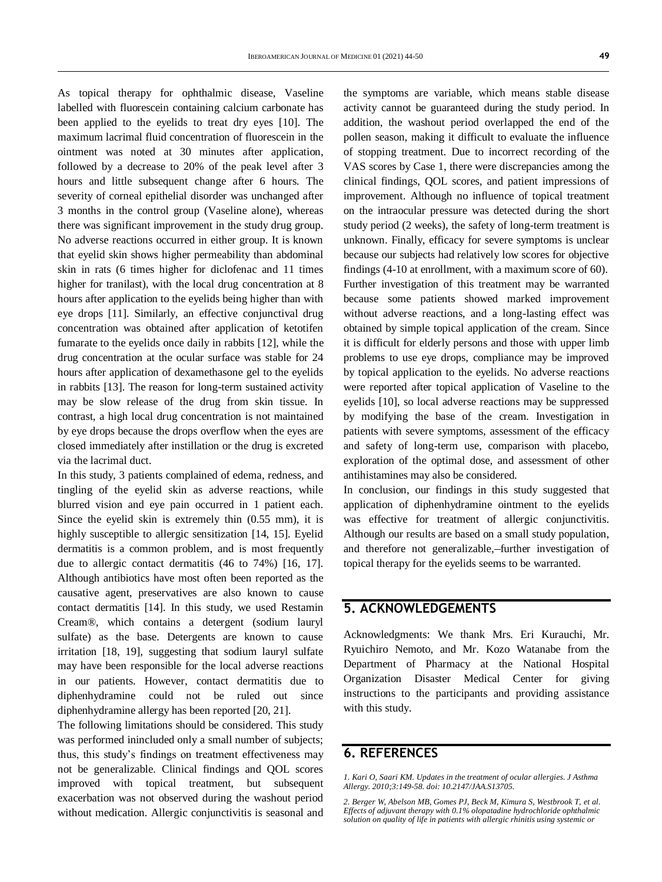As topical therapy for ophthalmic disease, Vaseline labelled with fluorescein containing calcium carbonate has been applied to the evelids to treat dry eyes [10]. The maximum lacrimal fluid concentration of fluorescein in the ointment was noted at 30 minutes after application, followed by a decrease to 20% of the peak level after 3 hours and little subsequent change after 6 hours. The severity of corneal epithelial disorder was unchanged after 3 months in the control group (Vaseline alone), whereas there was significant improvement in the study drug group. No adverse reactions occurred in either group. It is known that eyelid skin shows higher permeability than abdominal skin in rats (6 times higher for diclofenac and 11 times higher for tranilast), with the local drug concentration at 8 hours after application to the eyelids being higher than with eye drops [11]. Similarly, an effective conjunctival drug concentration was obtained after application of ketotifen fumarate to the eyelids once daily in rabbits [12], while the drug concentration at the ocular surface was stable for 24 hours after application of dexamethasone gel to the eyelids in rabbits [13]. The reason for long-term sustained activity may be slow release of the drug from skin tissue. In contrast, a high local drug concentration is not maintained by eye drops because the drops overflow when the eyes are closed immediately after instillation or the drug is excreted via the lacrimal duct.

In this study, 3 patients complained of edema, redness, and tingling of the eyelid skin as adverse reactions, while blurred vision and eye pain occurred in 1 patient each. Since the eyelid skin is extremely thin (0.55 mm), it is highly susceptible to allergic sensitization [14, 15]. Eyelid dermatitis is a common problem, and is most frequently due to allergic contact dermatitis (46 to 74%) [16, 17]. Although antibiotics have most often been reported as the causative agent, preservatives are also known to cause contact dermatitis [14]. In this study, we used Restamin Cream®, which contains a detergent (sodium lauryl sulfate) as the base. Detergents are known to cause irritation [18, 19], suggesting that sodium lauryl sulfate may have been responsible for the local adverse reactions in our patients. However, contact dermatitis due to diphenhydramine could not be ruled out since diphenhydramine allergy has been reported [20, 21].

The following limitations should be considered. This study was performed inincluded only a small number of subjects; thus, this study's findings on treatment effectiveness may not be generalizable. Clinical findings and QOL scores improved with topical treatment, but subsequent exacerbation was not observed during the washout period without medication. Allergic conjunctivitis is seasonal and

the symptoms are variable, which means stable disease activity cannot be guaranteed during the study period. In addition, the washout period overlapped the end of the pollen season, making it difficult to evaluate the influence of stopping treatment. Due to incorrect recording of the VAS scores by Case 1, there were discrepancies among the clinical findings, QOL scores, and patient impressions of improvement. Although no influence of topical treatment on the intraocular pressure was detected during the short study period (2 weeks), the safety of long-term treatment is unknown. Finally, efficacy for severe symptoms is unclear because our subjects had relatively low scores for objective findings (4-10 at enrollment, with a maximum score of 60). Further investigation of this treatment may be warranted because some patients showed marked improvement without adverse reactions, and a long-lasting effect was obtained by simple topical application of the cream. Since it is difficult for elderly persons and those with upper limb problems to use eye drops, compliance may be improved by topical application to the eyelids. No adverse reactions were reported after topical application of Vaseline to the eyelids [10], so local adverse reactions may be suppressed by modifying the base of the cream. Investigation in patients with severe symptoms, assessment of the efficacy and safety of long-term use, comparison with placebo, exploration of the optimal dose, and assessment of other antihistamines may also be considered.

In conclusion, our findings in this study suggested that application of diphenhydramine ointment to the eyelids was effective for treatment of allergic conjunctivitis. Although our results are based on a small study population, and therefore not generalizable, further investigation of topical therapy for the eyelids seems to be warranted.

### **5. ACKNOWLEDGEMENTS**

Acknowledgments: We thank Mrs. Eri Kurauchi, Mr. Ryuichiro Nemoto, and Mr. Kozo Watanabe from the Department of Pharmacy at the National Hospital Organization Disaster Medical Center for giving instructions to the participants and providing assistance with this study.

#### **6. REFERENCES**

*1. Kari O, Saari KM. Updates in the treatment of ocular allergies. J Asthma Allergy. 2010;3:149-58. doi[: 10.2147/JAA.S13705.](https://doi.org/10.2147/jaa.s13705)*

*2. Berger W, Abelson MB, Gomes PJ, Beck M, Kimura S, Westbrook T, et al. Effects of adjuvant therapy with 0.1% olopatadine hydrochloride ophthalmic solution on quality of life in patients with allergic rhinitis using systemic or*